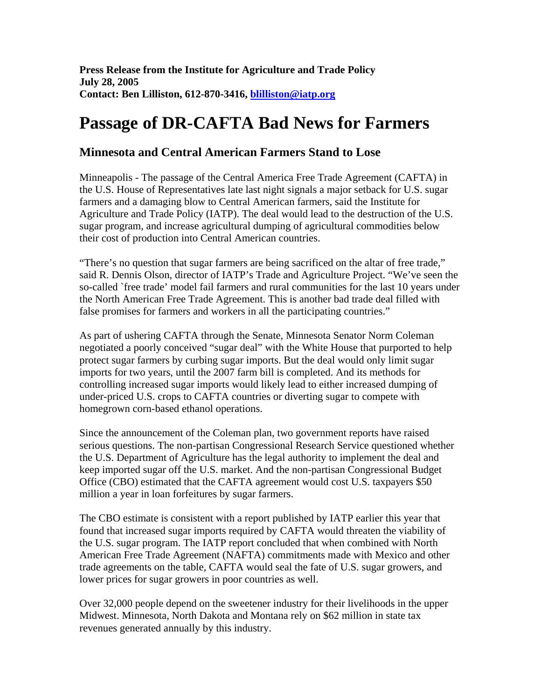**Press Release from the Institute for Agriculture and Trade Policy July 28, 2005 Contact: Ben Lilliston, 612-870-3416, blilliston@iatp.org**

## **Passage of DR-CAFTA Bad News for Farmers**

## **Minnesota and Central American Farmers Stand to Lose**

Minneapolis - The passage of the Central America Free Trade Agreement (CAFTA) in the U.S. House of Representatives late last night signals a major setback for U.S. sugar farmers and a damaging blow to Central American farmers, said the Institute for Agriculture and Trade Policy (IATP). The deal would lead to the destruction of the U.S. sugar program, and increase agricultural dumping of agricultural commodities below their cost of production into Central American countries.

"There's no question that sugar farmers are being sacrificed on the altar of free trade," said R. Dennis Olson, director of IATP's Trade and Agriculture Project. "We've seen the so-called `free trade' model fail farmers and rural communities for the last 10 years under the North American Free Trade Agreement. This is another bad trade deal filled with false promises for farmers and workers in all the participating countries."

As part of ushering CAFTA through the Senate, Minnesota Senator Norm Coleman negotiated a poorly conceived "sugar deal" with the White House that purported to help protect sugar farmers by curbing sugar imports. But the deal would only limit sugar imports for two years, until the 2007 farm bill is completed. And its methods for controlling increased sugar imports would likely lead to either increased dumping of under-priced U.S. crops to CAFTA countries or diverting sugar to compete with homegrown corn-based ethanol operations.

Since the announcement of the Coleman plan, two government reports have raised serious questions. The non-partisan Congressional Research Service questioned whether the U.S. Department of Agriculture has the legal authority to implement the deal and keep imported sugar off the U.S. market. And the non-partisan Congressional Budget Office (CBO) estimated that the CAFTA agreement would cost U.S. taxpayers \$50 million a year in loan forfeitures by sugar farmers.

The CBO estimate is consistent with a report published by IATP earlier this year that found that increased sugar imports required by CAFTA would threaten the viability of the U.S. sugar program. The IATP report concluded that when combined with North American Free Trade Agreement (NAFTA) commitments made with Mexico and other trade agreements on the table, CAFTA would seal the fate of U.S. sugar growers, and lower prices for sugar growers in poor countries as well.

Over 32,000 people depend on the sweetener industry for their livelihoods in the upper Midwest. Minnesota, North Dakota and Montana rely on \$62 million in state tax revenues generated annually by this industry.